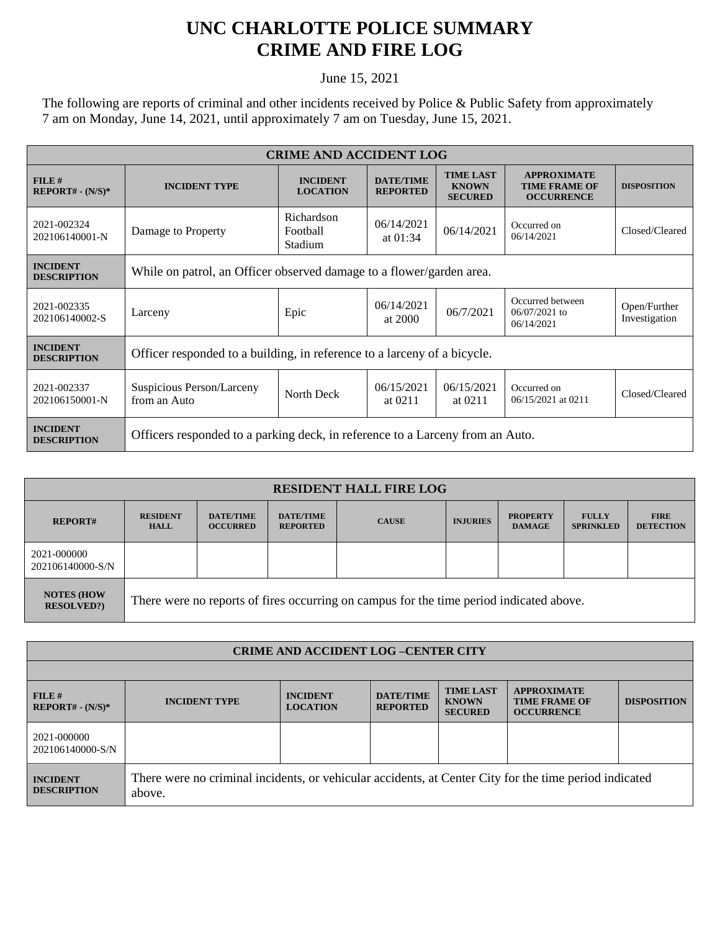## **UNC CHARLOTTE POLICE SUMMARY CRIME AND FIRE LOG**

June 15, 2021

The following are reports of criminal and other incidents received by Police & Public Safety from approximately 7 am on Monday, June 14, 2021, until approximately 7 am on Tuesday, June 15, 2021.

| <b>CRIME AND ACCIDENT LOG</b>         |                                                                               |                                    |                                     |                                                    |                                                                 |                               |  |  |
|---------------------------------------|-------------------------------------------------------------------------------|------------------------------------|-------------------------------------|----------------------------------------------------|-----------------------------------------------------------------|-------------------------------|--|--|
| FILE#<br>$REPORT# - (N/S)*$           | <b>INCIDENT TYPE</b>                                                          | <b>INCIDENT</b><br><b>LOCATION</b> | <b>DATE/TIME</b><br><b>REPORTED</b> | <b>TIME LAST</b><br><b>KNOWN</b><br><b>SECURED</b> | <b>APPROXIMATE</b><br><b>TIME FRAME OF</b><br><b>OCCURRENCE</b> | <b>DISPOSITION</b>            |  |  |
| 2021-002324<br>202106140001-N         | Damage to Property                                                            | Richardson<br>Football<br>Stadium  | 06/14/2021<br>at $01:34$            | 06/14/2021                                         | Occurred on<br>06/14/2021                                       | Closed/Cleared                |  |  |
| <b>INCIDENT</b><br><b>DESCRIPTION</b> | While on patrol, an Officer observed damage to a flower/garden area.          |                                    |                                     |                                                    |                                                                 |                               |  |  |
| 2021-002335<br>202106140002-S         | Larceny                                                                       | Epic                               | 06/14/2021<br>at 2000               | 06/7/2021                                          | Occurred between<br>$06/07/2021$ to<br>06/14/2021               | Open/Further<br>Investigation |  |  |
| <b>INCIDENT</b><br><b>DESCRIPTION</b> | Officer responded to a building, in reference to a larceny of a bicycle.      |                                    |                                     |                                                    |                                                                 |                               |  |  |
| 2021-002337<br>202106150001-N         | Suspicious Person/Larceny<br>from an Auto                                     | North Deck                         | 06/15/2021<br>at 0211               | 06/15/2021<br>at $0211$                            | Occurred on<br>06/15/2021 at 0211                               | Closed/Cleared                |  |  |
| <b>INCIDENT</b><br><b>DESCRIPTION</b> | Officers responded to a parking deck, in reference to a Larceny from an Auto. |                                    |                                     |                                                    |                                                                 |                               |  |  |

| <b>RESIDENT HALL FIRE LOG</b>          |                                                                                         |                                     |                                     |              |                 |                                  |                                  |                                 |
|----------------------------------------|-----------------------------------------------------------------------------------------|-------------------------------------|-------------------------------------|--------------|-----------------|----------------------------------|----------------------------------|---------------------------------|
| <b>REPORT#</b>                         | <b>RESIDENT</b><br><b>HALL</b>                                                          | <b>DATE/TIME</b><br><b>OCCURRED</b> | <b>DATE/TIME</b><br><b>REPORTED</b> | <b>CAUSE</b> | <b>INJURIES</b> | <b>PROPERTY</b><br><b>DAMAGE</b> | <b>FULLY</b><br><b>SPRINKLED</b> | <b>FIRE</b><br><b>DETECTION</b> |
| 2021-000000<br>202106140000-S/N        |                                                                                         |                                     |                                     |              |                 |                                  |                                  |                                 |
| <b>NOTES (HOW</b><br><b>RESOLVED?)</b> | There were no reports of fires occurring on campus for the time period indicated above. |                                     |                                     |              |                 |                                  |                                  |                                 |

| <b>CRIME AND ACCIDENT LOG-CENTER CITY</b> |                                                                                                                  |                                    |                                     |                                                    |                                                                 |                    |  |
|-------------------------------------------|------------------------------------------------------------------------------------------------------------------|------------------------------------|-------------------------------------|----------------------------------------------------|-----------------------------------------------------------------|--------------------|--|
|                                           |                                                                                                                  |                                    |                                     |                                                    |                                                                 |                    |  |
| $FILE$ #<br>$REPORT# - (N/S)*$            | <b>INCIDENT TYPE</b>                                                                                             | <b>INCIDENT</b><br><b>LOCATION</b> | <b>DATE/TIME</b><br><b>REPORTED</b> | <b>TIME LAST</b><br><b>KNOWN</b><br><b>SECURED</b> | <b>APPROXIMATE</b><br><b>TIME FRAME OF</b><br><b>OCCURRENCE</b> | <b>DISPOSITION</b> |  |
| 2021-000000<br>202106140000-S/N           |                                                                                                                  |                                    |                                     |                                                    |                                                                 |                    |  |
| <b>INCIDENT</b><br><b>DESCRIPTION</b>     | There were no criminal incidents, or vehicular accidents, at Center City for the time period indicated<br>above. |                                    |                                     |                                                    |                                                                 |                    |  |